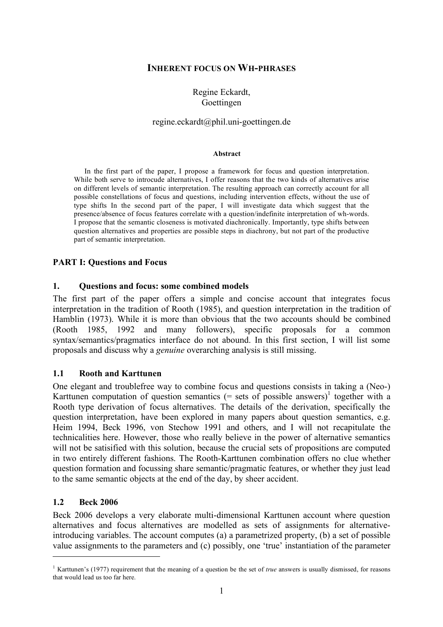### **INHERENT FOCUS ON WH-PHRASES**

## Regine Eckardt, Goettingen

## regine.eckardt@phil.uni-goettingen.de

#### **Abstract**

In the first part of the paper, I propose a framework for focus and question interpretation. While both serve to introcude alternatives, I offer reasons that the two kinds of alternatives arise on different levels of semantic interpretation. The resulting approach can correctly account for all possible constellations of focus and questions, including intervention effects, without the use of type shifts In the second part of the paper, I will investigate data which suggest that the presence/absence of focus features correlate with a question/indefinite interpretation of wh-words. I propose that the semantic closeness is motivated diachronically. Importantly, type shifts between question alternatives and properties are possible steps in diachrony, but not part of the productive part of semantic interpretation.

### **PART I: Questions and Focus**

#### **1. Questions and focus: some combined models**

The first part of the paper offers a simple and concise account that integrates focus interpretation in the tradition of Rooth (1985), and question interpretation in the tradition of Hamblin (1973). While it is more than obvious that the two accounts should be combined (Rooth 1985, 1992 and many followers), specific proposals for a common syntax/semantics/pragmatics interface do not abound. In this first section, I will list some proposals and discuss why a *genuine* overarching analysis is still missing.

### **1.1 Rooth and Karttunen**

One elegant and troublefree way to combine focus and questions consists in taking a (Neo-) Karttunen computation of question semantics  $(=$  sets of possible answers)<sup>1</sup> together with a Rooth type derivation of focus alternatives. The details of the derivation, specifically the question interpretation, have been explored in many papers about question semantics, e.g. Heim 1994, Beck 1996, von Stechow 1991 and others, and I will not recapitulate the technicalities here. However, those who really believe in the power of alternative semantics will not be satisified with this solution, because the crucial sets of propositions are computed in two entirely different fashions. The Rooth-Karttunen combination offers no clue whether question formation and focussing share semantic/pragmatic features, or whether they just lead to the same semantic objects at the end of the day, by sheer accident.

### **1.2 Beck 2006**

 $\overline{a}$ 

Beck 2006 develops a very elaborate multi-dimensional Karttunen account where question alternatives and focus alternatives are modelled as sets of assignments for alternativeintroducing variables. The account computes (a) a parametrized property, (b) a set of possible value assignments to the parameters and (c) possibly, one 'true' instantiation of the parameter

<sup>&</sup>lt;sup>1</sup> Karttunen's (1977) requirement that the meaning of a question be the set of *true* answers is usually dismissed, for reasons that would lead us too far here.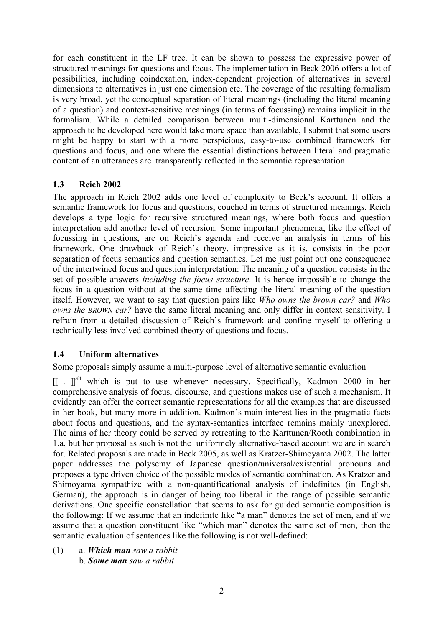for each constituent in the LF tree. It can be shown to possess the expressive power of structured meanings for questions and focus. The implementation in Beck 2006 offers a lot of possibilities, including coindexation, index-dependent projection of alternatives in several dimensions to alternatives in just one dimension etc. The coverage of the resulting formalism is very broad, yet the conceptual separation of literal meanings (including the literal meaning of a question) and context-sensitive meanings (in terms of focussing) remains implicit in the formalism. While a detailed comparison between multi-dimensional Karttunen and the approach to be developed here would take more space than available, I submit that some users might be happy to start with a more perspicious, easy-to-use combined framework for questions and focus, and one where the essential distinctions between literal and pragmatic content of an utterances are transparently reflected in the semantic representation.

# **1.3 Reich 2002**

The approach in Reich 2002 adds one level of complexity to Beck's account. It offers a semantic framework for focus and questions, couched in terms of structured meanings. Reich develops a type logic for recursive structured meanings, where both focus and question interpretation add another level of recursion. Some important phenomena, like the effect of focussing in questions, are on Reich's agenda and receive an analysis in terms of his framework. One drawback of Reich's theory, impressive as it is, consists in the poor separation of focus semantics and question semantics. Let me just point out one consequence of the intertwined focus and question interpretation: The meaning of a question consists in the set of possible answers *including the focus structure*. It is hence impossible to change the focus in a question without at the same time affecting the literal meaning of the question itself. However, we want to say that question pairs like *Who owns the brown car?* and *Who owns the BROWN car?* have the same literal meaning and only differ in context sensitivity. I refrain from a detailed discussion of Reich's framework and confine myself to offering a technically less involved combined theory of questions and focus.

# **1.4 Uniform alternatives**

Some proposals simply assume a multi-purpose level of alternative semantic evaluation

[[ . ]<sup>alt</sup> which is put to use whenever necessary. Specifically, Kadmon 2000 in her comprehensive analysis of focus, discourse, and questions makes use of such a mechanism. It evidently can offer the correct semantic representations for all the examples that are discussed in her book, but many more in addition. Kadmon's main interest lies in the pragmatic facts about focus and questions, and the syntax-semantics interface remains mainly unexplored. The aims of her theory could be served by retreating to the Karttunen/Rooth combination in 1.a, but her proposal as such is not the uniformely alternative-based account we are in search for. Related proposals are made in Beck 2005, as well as Kratzer-Shimoyama 2002. The latter paper addresses the polysemy of Japanese question/universal/existential pronouns and proposes a type driven choice of the possible modes of semantic combination. As Kratzer and Shimoyama sympathize with a non-quantificational analysis of indefinites (in English, German), the approach is in danger of being too liberal in the range of possible semantic derivations. One specific constellation that seems to ask for guided semantic composition is the following: If we assume that an indefinite like "a man" denotes the set of men, and if we assume that a question constituent like "which man" denotes the same set of men, then the semantic evaluation of sentences like the following is not well-defined:

(1) a. *Which man saw a rabbit* b. *Some man saw a rabbit*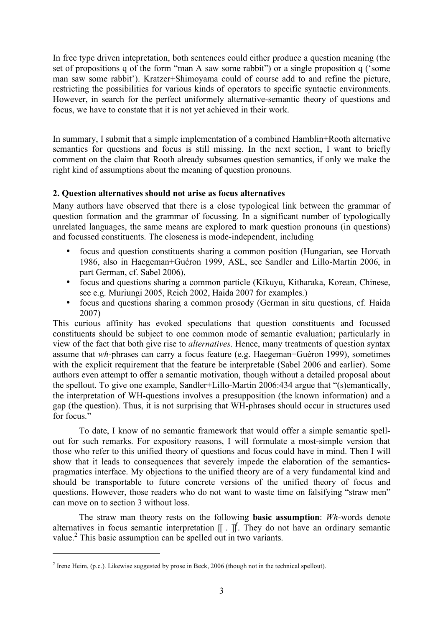In free type driven intepretation, both sentences could either produce a question meaning (the set of propositions q of the form "man A saw some rabbit") or a single proposition q ('some man saw some rabbit'). Kratzer+Shimoyama could of course add to and refine the picture, restricting the possibilities for various kinds of operators to specific syntactic environments. However, in search for the perfect uniformely alternative-semantic theory of questions and focus, we have to constate that it is not yet achieved in their work.

In summary, I submit that a simple implementation of a combined Hamblin+Rooth alternative semantics for questions and focus is still missing. In the next section, I want to briefly comment on the claim that Rooth already subsumes question semantics, if only we make the right kind of assumptions about the meaning of question pronouns.

# **2. Question alternatives should not arise as focus alternatives**

Many authors have observed that there is a close typological link between the grammar of question formation and the grammar of focussing. In a significant number of typologically unrelated languages, the same means are explored to mark question pronouns (in questions) and focussed constituents. The closeness is mode-independent, including

- focus and question constituents sharing a common position (Hungarian, see Horvath 1986, also in Haegeman+Guéron 1999, ASL, see Sandler and Lillo-Martin 2006, in part German, cf. Sabel 2006),
- focus and questions sharing a common particle (Kikuyu, Kitharaka, Korean, Chinese, see e.g. Muriungi 2005, Reich 2002, Haida 2007 for examples.)
- focus and questions sharing a common prosody (German in situ questions, cf. Haida 2007)

This curious affinity has evoked speculations that question constituents and focussed constituents should be subject to one common mode of semantic evaluation; particularly in view of the fact that both give rise to *alternatives*. Hence, many treatments of question syntax assume that *wh*-phrases can carry a focus feature (e.g. Haegeman+Guéron 1999), sometimes with the explicit requirement that the feature be interpretable (Sabel 2006 and earlier). Some authors even attempt to offer a semantic motivation, though without a detailed proposal about the spellout. To give one example, Sandler+Lillo-Martin 2006:434 argue that "(s)emantically, the interpretation of WH-questions involves a presupposition (the known information) and a gap (the question). Thus, it is not surprising that WH-phrases should occur in structures used for focus."

To date, I know of no semantic framework that would offer a simple semantic spellout for such remarks. For expository reasons, I will formulate a most-simple version that those who refer to this unified theory of questions and focus could have in mind. Then I will show that it leads to consequences that severely impede the elaboration of the semanticspragmatics interface. My objections to the unified theory are of a very fundamental kind and should be transportable to future concrete versions of the unified theory of focus and questions. However, those readers who do not want to waste time on falsifying "straw men" can move on to section 3 without loss.

The straw man theory rests on the following **basic assumption**: *Wh*-words denote alternatives in focus semantic interpretation  $[[ \tcdot ]]^{f}$ . They do not have an ordinary semantic value.<sup>2</sup> This basic assumption can be spelled out in two variants.

 $\overline{a}$ 

 $2$  Irene Heim, (p.c.). Likewise suggested by prose in Beck, 2006 (though not in the technical spellout).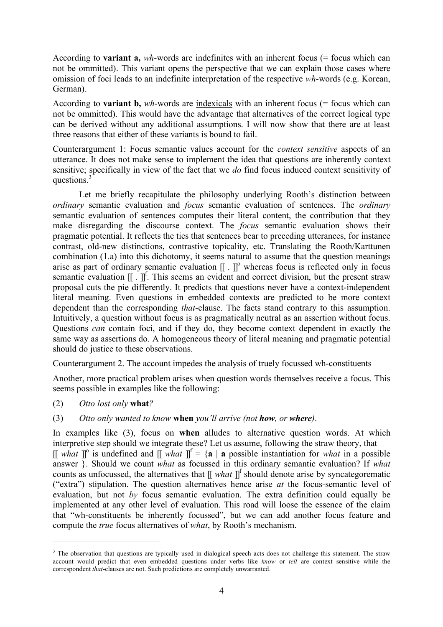According to **variant a,** *wh*-words are indefinites with an inherent focus (= focus which can not be ommitted). This variant opens the perspective that we can explain those cases where omission of foci leads to an indefinite interpretation of the respective *wh*-words (e.g. Korean, German).

According to **variant b,** *wh*-words are indexicals with an inherent focus (= focus which can not be ommitted). This would have the advantage that alternatives of the correct logical type can be derived without any additional assumptions. I will now show that there are at least three reasons that either of these variants is bound to fail.

Counterargument 1: Focus semantic values account for the *context sensitive* aspects of an utterance. It does not make sense to implement the idea that questions are inherently context sensitive; specifically in view of the fact that we *do* find focus induced context sensitivity of questions.<sup>3</sup>

Let me briefly recapitulate the philosophy underlying Rooth's distinction between *ordinary* semantic evaluation and *focus* semantic evaluation of sentences. The *ordinary* semantic evaluation of sentences computes their literal content, the contribution that they make disregarding the discourse context. The *focus* semantic evaluation shows their pragmatic potential. It reflects the ties that sentences bear to preceding utterances, for instance contrast, old-new distinctions, contrastive topicality, etc. Translating the Rooth/Karttunen combination (1.a) into this dichotomy, it seems natural to assume that the question meanings arise as part of ordinary semantic evaluation  $[[.]]^{\circ}$  whereas focus is reflected only in focus semantic evaluation  $[[ \cdot ]]^{f}$ . This seems an evident and correct division, but the present straw proposal cuts the pie differently. It predicts that questions never have a context-independent literal meaning. Even questions in embedded contexts are predicted to be more context dependent than the corresponding *that*-clause. The facts stand contrary to this assumption. Intuitively, a question without focus is as pragmatically neutral as an assertion without focus. Questions *can* contain foci, and if they do, they become context dependent in exactly the same way as assertions do. A homogeneous theory of literal meaning and pragmatic potential should do justice to these observations.

Counterargument 2. The account impedes the analysis of truely focussed wh-constituents

Another, more practical problem arises when question words themselves receive a focus. This seems possible in examples like the following:

(2) *Otto lost only* **what***?*

 $\overline{a}$ 

(3) *Otto only wanted to know* **when** *you'll arrive (not how, or where)*.

In examples like (3), focus on **when** alludes to alternative question words. At which interpretive step should we integrate these? Let us assume, following the straw theory, that  $[[$  what  $]]^{\circ}$  is undefined and  $[[$  what  $]]^{\circ} = \{a \mid a$  possible instantiation for what in a possible answer }. Should we count *what* as focussed in this ordinary semantic evaluation? If *what* counts as unfocussed, the alternatives that [[ *what* ]] f should denote arise by syncategorematic ("extra") stipulation. The question alternatives hence arise *at* the focus-semantic level of evaluation, but not *by* focus semantic evaluation. The extra definition could equally be implemented at any other level of evaluation. This road will loose the essence of the claim that "wh-constituents be inherently focussed", but we can add another focus feature and compute the *true* focus alternatives of *what*, by Rooth's mechanism.

<sup>&</sup>lt;sup>3</sup> The observation that questions are typically used in dialogical speech acts does not challenge this statement. The straw account would predict that even embedded questions under verbs like *know* or *tell* are context sensitive while the correspondent *that*-clauses are not. Such predictions are completely unwarranted.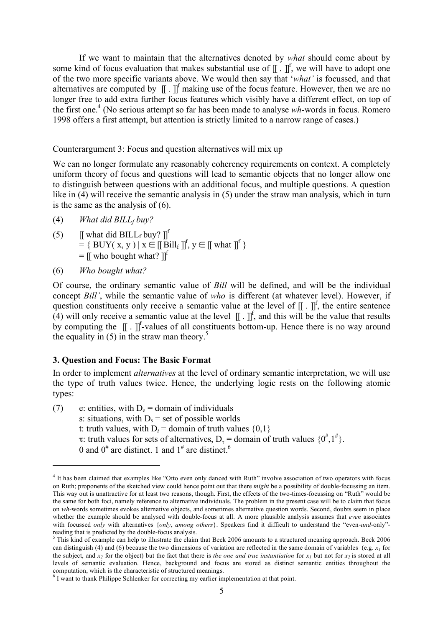If we want to maintain that the alternatives denoted by *what* should come about by some kind of focus evaluation that makes substantial use of  $[[.]]^f$ , we will have to adopt one of the two more specific variants above. We would then say that '*what'* is focussed, and that alternatives are computed by  $[[.]]^f$  making use of the focus feature. However, then we are no longer free to add extra further focus features which visibly have a different effect, on top of the first one. <sup>4</sup> (No serious attempt so far has been made to analyse *wh*-words in focus. Romero 1998 offers a first attempt, but attention is strictly limited to a narrow range of cases.)

Counterargument 3: Focus and question alternatives will mix up

We can no longer formulate any reasonably coherency requirements on context. A completely uniform theory of focus and questions will lead to semantic objects that no longer allow one to distinguish between questions with an additional focus, and multiple questions. A question like in (4) will receive the semantic analysis in (5) under the straw man analysis, which in turn is the same as the analysis of (6).

- (4) *What did BILL<sub>f</sub> buy?*
- (5) [[ what did BILL<sub>f</sub> buy? ]]<sup>f</sup>  $= \{$  BUY(x, y) |  $x \in [\![\ddot{B}ill_{f}]\!]^{f}$ ,  $y \in [\![$  what  $]\!]^{f}$ }  $=$  [[ who bought what? ]]<sup>f</sup>
- (6) *Who bought what?*

 $\overline{a}$ 

Of course, the ordinary semantic value of *Bill* will be defined, and will be the individual concept *Bill'*, while the semantic value of *who* is different (at whatever level). However, if question constituents only receive a semantic value at the level of  $[[ \cdot ]]^{f}$ , the entire sentence  $(4)$  will only receive a semantic value at the level  $[[.]]^f$ , and this will be the value that results by computing the  $[[ \tcdot ]]^{f}$ -values of all constituents bottom-up. Hence there is no way around the equality in  $(5)$  in the straw man theory.<sup>5</sup>

# **3. Question and Focus: The Basic Format**

In order to implement *alternatives* at the level of ordinary semantic interpretation, we will use the type of truth values twice. Hence, the underlying logic rests on the following atomic types:

- (7) e: entities, with  $D_e =$  domain of individuals s: situations, with  $D_s$  = set of possible worlds t: truth values, with  $D_t =$  domain of truth values  $\{0,1\}$ τ: truth values for sets of alternatives,  $D_{\tau} =$  domain of truth values  $\{0^{\#},1^{\#}\}\$ .
	- 0 and  $0^{\#}$  are distinct. 1 and  $1^{\#}$  are distinct.<sup>6</sup>

<sup>&</sup>lt;sup>4</sup> It has been claimed that examples like "Otto even only danced with Ruth" involve association of two operators with focus on Ruth; proponents of the sketched view could hence point out that there *might* be a possibility of double-focussing an item. This way out is unattractive for at least two reasons, though. First, the effects of the two-times-focussing on "Ruth" would be the same for both foci, namely reference to alternative individuals. The problem in the present case will be to claim that focus on *wh*-words sometimes evokes alternative objects, and sometimes alternative question words. Second, doubts seem in place whether the example should be analysed with double-focus at all. A more plausible analysis assumes that *even* associates with focussed *only* with alternatives {*only*, *among others*}. Speakers find it difficult to understand the "even-*and*-only" reading that is predicted by the double-focus analysis. <sup>5</sup> This kind of example can help to illustrate the claim that Beck <sup>2006</sup> amounts to <sup>a</sup> structured meaning approach. Beck <sup>2006</sup>

can distinguish (4) and (6) because the two dimensions of variation are reflected in the same domain of variables (e.g.  $x_i$  for the subject, and  $x_2$  for the object) but the fact that there is *the one and true instantiation* for  $x_1$  but not for  $x_2$  is stored at all levels of semantic evaluation. Hence, background and focus are stored as distinct semantic entities throughout the computation, which is the characteristic of structured meanings. <sup>6</sup> <sup>I</sup> want to thank Philippe Schlenker for correcting my earlier implementation at that point.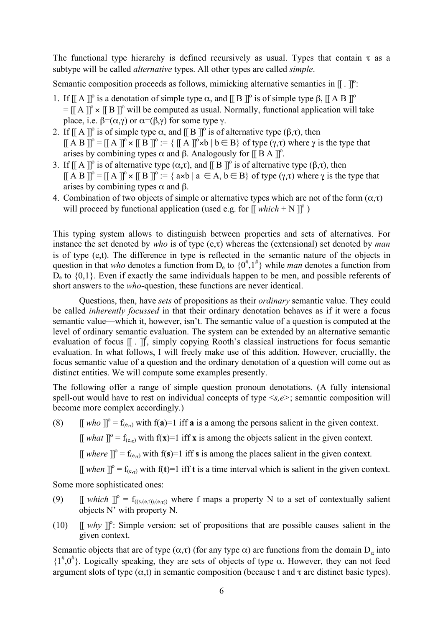The functional type hierarchy is defined recursively as usual. Types that contain  $\tau$  as a subtype will be called *alternative* types. All other types are called *simple*.

Semantic composition proceeds as follows, mimicking alternative semantics in  $[[.]]^{\circ}$ :

- 1. If [[ A ]]<sup>o</sup> is a denotation of simple type  $\alpha$ , and [[ B ]]<sup>o</sup> is of simple type  $\beta$ , [[ A B ]]<sup>o</sup>  $=[[A]]^{\circ} \times [B]]^{\circ}$  will be computed as usual. Normally, functional application will take place, i.e.  $\beta = (\alpha, \gamma)$  or  $\alpha = (\beta, \gamma)$  for some type  $\gamma$ .
- 2. If  $[[A]]^{\circ}$  is of simple type  $\alpha$ , and  $[[B]]^{\circ}$  is of alternative type  $(\beta,\tau)$ , then  $[[A B]]^{\circ} = [[A]]^{\circ} \times [[B]]^{\circ} = \{ [[A]]^{\circ} \times b \mid b \in B \}$  of type  $(\gamma, \tau)$  where  $\gamma$  is the type that arises by combining types  $\alpha$  and  $\beta$ . Analogously for [[ B A ]]<sup>o</sup>.
- 3. If [[ A ]]<sup>o</sup> is of alternative type  $(α,τ)$ , and [[ B ]]<sup>o</sup> is of alternative type (β,τ), then  $[[A B]]^{\circ} = [[A]]^{\circ} \times [[B]]^{\circ} = \{ axb \mid a \in A, b \in B \}$  of type  $(\gamma, \tau)$  where  $\gamma$  is the type that arises by combining types  $α$  and  $β$ .
- 4. Combination of two objects of simple or alternative types which are not of the form  $(\alpha, \tau)$ will proceed by functional application (used e.g. for  $[[\text{ which } + N]]^{\circ}$ )

This typing system allows to distinguish between properties and sets of alternatives. For instance the set denoted by *who* is of type (e,τ) whereas the (extensional) set denoted by *man* is of type (e,t). The difference in type is reflected in the semantic nature of the objects in question in that *who* denotes a function from  $D_e$  to  $\{0^{\#},1^{\#}\}\$  while *man* denotes a function from  $D<sub>e</sub>$  to  $\{0,1\}$ . Even if exactly the same individuals happen to be men, and possible referents of short answers to the *who*-question, these functions are never identical.

Questions, then, have *sets* of propositions as their *ordinary* semantic value. They could be called *inherently focussed* in that their ordinary denotation behaves as if it were a focus semantic value—which it, however, isn't. The semantic value of a question is computed at the level of ordinary semantic evaluation. The system can be extended by an alternative semantic evaluation of focus [[. ]]<sup>f</sup>, simply copying Rooth's classical instructions for focus semantic evaluation. In what follows, I will freely make use of this addition. However, cruciallly, the focus semantic value of a question and the ordinary denotation of a question will come out as distinct entities. We will compute some examples presently.

The following offer a range of simple question pronoun denotations. (A fully intensional spell-out would have to rest on individual concepts of type <*s,e>*; semantic composition will become more complex accordingly.)

(8)  $[[$  *who*  $]]^{\circ} = f_{(e,\tau)}$  with f(**a**)=1 iff **a** is a among the persons salient in the given context.

 $[[$  what  $]]^{\circ} = f_{(e,\tau)}$  with  $f(x)=1$  iff x is among the objects salient in the given context.

 $[[\text{ where }]]^{\circ} = f_{(e,\tau)}$  with  $f(\mathbf{s})=1$  iff **s** is among the places salient in the given context.

 $[[\text{ when }]]^{\circ} = f_{(e,\tau)}$  with  $f(\tau) = 1$  iff  $\tau$  is a time interval which is salient in the given context.

Some more sophisticated ones:

- (9)  $\left[\right]$  *which*  $\right]$ <sup>o</sup> = f<sub>((s,(e,t)),(e,<sub>τ)</sub>) where f maps a property N to a set of contextually salient</sub> objects N' with property N.
- (10)  $\left[\begin{array}{cc} \psi h y \end{array}\right]$ <sup>o</sup>: Simple version: set of propositions that are possible causes salient in the given context.

Semantic objects that are of type  $(\alpha, \tau)$  (for any type  $\alpha$ ) are functions from the domain D<sub>a</sub> into  $\{1^{\#},0^{\#}\}\$ . Logically speaking, they are sets of objects of type  $\alpha$ . However, they can not feed argument slots of type  $(\alpha, t)$  in semantic composition (because t and  $\tau$  are distinct basic types).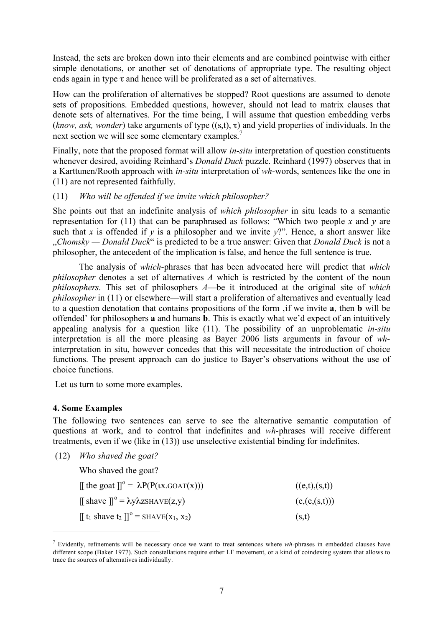Instead, the sets are broken down into their elements and are combined pointwise with either simple denotations, or another set of denotations of appropriate type. The resulting object ends again in type  $\tau$  and hence will be proliferated as a set of alternatives.

How can the proliferation of alternatives be stopped? Root questions are assumed to denote sets of propositions. Embedded questions, however, should not lead to matrix clauses that denote sets of alternatives. For the time being, I will assume that question embedding verbs (*know, ask, wonder*) take arguments of type ((s,t), τ) and yield properties of individuals. In the next section we will see some elementary examples.<sup>7</sup>

Finally, note that the proposed format will allow *in-situ* interpretation of question constituents whenever desired, avoiding Reinhard's *Donald Duck* puzzle. Reinhard (1997) observes that in a Karttunen/Rooth approach with *in-situ* interpretation of *wh*-words, sentences like the one in (11) are not represented faithfully.

## (11) *Who will be offended if we invite which philosopher?*

She points out that an indefinite analysis of *which philosopher* in situ leads to a semantic representation for (11) that can be paraphrased as follows: "Which two people *x* and *y* are such that *x* is offended if *y* is a philosopher and we invite  $y$ ?". Hence, a short answer like "*Chomsky — Donald Duck*" is predicted to be a true answer: Given that *Donald Duck* is not a philosopher, the antecedent of the implication is false, and hence the full sentence is true.

The analysis of *which*-phrases that has been advocated here will predict that *which philosopher* denotes a set of alternatives *A* which is restricted by the content of the noun *philosophers*. This set of philosophers *A*—be it introduced at the original site of *which philosopher* in (11) or elsewhere—will start a proliferation of alternatives and eventually lead to a question denotation that contains propositions of the form 'if we invite **a**, then **b** will be offended' for philosophers **a** and humans **b**. This is exactly what we'd expect of an intuitively appealing analysis for a question like (11). The possibility of an unproblematic *in-situ* interpretation is all the more pleasing as Bayer 2006 lists arguments in favour of *wh*interpretation in situ, however concedes that this will necessitate the introduction of choice functions. The present approach can do justice to Bayer's observations without the use of choice functions.

Let us turn to some more examples.

# **4. Some Examples**

 $\overline{a}$ 

The following two sentences can serve to see the alternative semantic computation of questions at work, and to control that indefinites and *wh*-phrases will receive different treatments, even if we (like in (13)) use unselective existential binding for indefinites.

(12) *Who shaved the goat?*

Who shaved the goat?

| $\llbracket$ the goat $\rrbracket^0 = \lambda P(P(\iota x. GOAT(x)))$                 | ((e,t),(s,t))   |
|---------------------------------------------------------------------------------------|-----------------|
| $\left[\right]$ shave $\left[\right]$ <sup>o</sup> = $\lambda y \lambda z$ SHAVE(z,y) | (e, (e, (s,t))) |
| $[[t_1 \text{ share } t_2]]^\circ = \text{SHAVE}(x_1, x_2)$                           | (s,t)           |

<sup>7</sup> Evidently, refinements will be necessary once we want to treat sentences where *wh-*phrases in embedded clauses have different scope (Baker 1977). Such constellations require either LF movement, or a kind of coindexing system that allows to trace the sources of alternatives individually.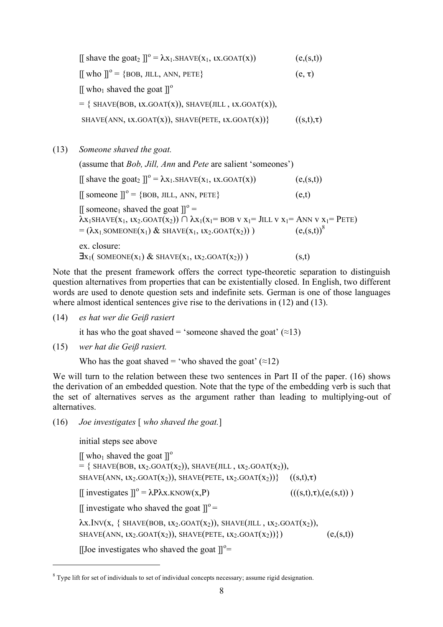[[ shave the goat<sub>2</sub> ]]<sup>o</sup> =  $\lambda x_1$ .SHAVE( $x_1$ ,  $\lambda x$ .GOAT( $x$ )) (e,(s,t))  $[[$  who  $]]^{\circ} = \{$ BOB, JILL, ANN, PETE $\}$  (e,  $\tau$ ) [[ who<sub>1</sub> shaved the goat  $\mathbb{J}^{\circ}$  $=$  { SHAVE(BOB, *IX.GOAT(X))*, SHAVE(JILL, *IX.GOAT(X))*, SHAVE(ANN,  $\overline{(x, t), \tau}$ ), SHAVE(PETE,  $\overline{(x, t), \tau}$ ) ( $\overline{(s, t), \tau}$ )

(13) *Someone shaved the goat.* (assume that *Bob, Jill, Ann* and *Pete* are salient 'someones') [[ shave the goat<sub>2</sub> ]]<sup>o</sup> =  $\lambda x_1$ .SHAVE( $x_1$ ,  $\lambda x$ .GOAT( $x$ )) (e,(s,t))  $\[\]$  someone  $\]$ <sup>o</sup> = {BOB, JILL, ANN, PETE} (e,t) [[ someone<sub>1</sub> shaved the goat  $]]^{\circ} =$  $\lambda$ x<sub>1</sub>SHAVE(x<sub>1</sub>,  $\iota$ x<sub>2</sub>.GOAT(x<sub>2</sub>))  $\cap$   $\lambda$ x<sub>1</sub>(x<sub>1</sub>= BOB v x<sub>1</sub>= JILL v x<sub>1</sub>= ANN v x<sub>1</sub>= PETE)  $= (\lambda x_1 \text{SOMEONE}(x_1) \& \text{SHAVE}(x_1, tx_2 \text{.GOAT}(x_2)))$  $(e,(s,t))^8$ ex. closure:  $\exists$ x<sub>1</sub>( SOMEONE(x<sub>1</sub>) & SHAVE(x<sub>1</sub>,  $\exists$ x<sub>2</sub>.GOAT(x<sub>2</sub>)) ) (s,t)

Note that the present framework offers the correct type-theoretic separation to distinguish question alternatives from properties that can be existentially closed. In English, two different words are used to denote question sets and indefinite sets. German is one of those languages where almost identical sentences give rise to the derivations in (12) and (13).

(14) *es hat wer die Geiß rasiert*

it has who the goat shaved = 'someone shaved the goat'  $(\approx 13)$ 

(15) *wer hat die Geiß rasiert.*

Who has the goat shaved = 'who shaved the goat'  $(\approx 12)$ 

We will turn to the relation between these two sentences in Part II of the paper. (16) shows the derivation of an embedded question. Note that the type of the embedding verb is such that the set of alternatives serves as the argument rather than leading to multiplying-out of alternatives.

(16) *Joe investigates* [ *who shaved the goat.*]

initial steps see above

 $\overline{a}$ 

 $[[$  who<sub>1</sub> shaved the goat  $]]^{\circ}$ = { SHAVE(BOB,  $\text{tx}_2.\text{GOAT}(x_2)$ ), SHAVE(JILL,  $\text{tx}_2.\text{GOAT}(x_2)$ ), SHAVE(ANN,  $\{X_2,GOAT(X_2)\}$ , SHAVE(PETE,  $\{X_2,GOAT(X_2)\}$   $((s,t),\tau)$  $[[$  investigates  $]]^{\circ} = \lambda P \lambda x.$ KNOW(x,P) (((s,t),  $\tau$ ), (e,(s,t))) [[ investigate who shaved the goat  $]$ ]<sup>o</sup> =  $\lambda$ x.INV(x, { SHAVE(BOB,  $\iota$ x<sub>2</sub>.GOAT(x<sub>2</sub>)), SHAVE(JILL,  $\iota$ x<sub>2</sub>.GOAT(x<sub>2</sub>)), SHAVE(ANN,  $\text{IX}_2.\text{GOAT}(X_2)$ ), SHAVE(PETE,  $\text{IX}_2.\text{GOAT}(X_2)$ )}) (e,(s,t)) [[Joe investigates who shaved the goat  $]$ ]<sup>o</sup>=

<sup>&</sup>lt;sup>8</sup> Type lift for set of individuals to set of individual concepts necessary; assume rigid designation.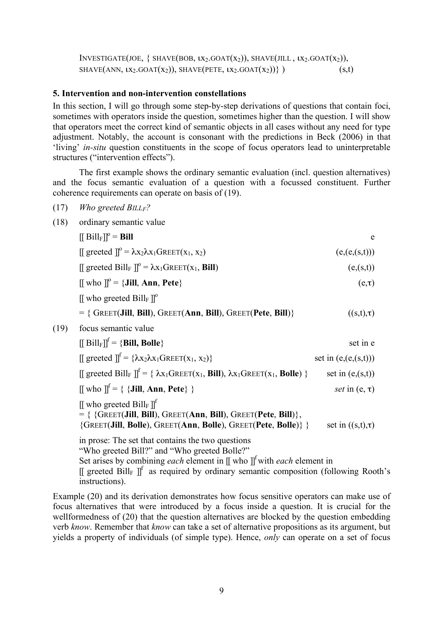INVESTIGATE(JOE, { SHAVE(BOB,  $tx_2$ .GOAT( $x_2$ )), SHAVE(JILL,  $tx_2$ .GOAT( $x_2$ )), SHAVE(ANN,  $\{x_2.GOAT(x_2)\}$ , SHAVE(PETE,  $\{x_2.GOAT(x_2)\}$ ) (s,t)

#### **5. Intervention and non-intervention constellations**

In this section, I will go through some step-by-step derivations of questions that contain foci, sometimes with operators inside the question, sometimes higher than the question. I will show that operators meet the correct kind of semantic objects in all cases without any need for type adjustment. Notably, the account is consonant with the predictions in Beck (2006) in that 'living' *in-situ* question constituents in the scope of focus operators lead to uninterpretable structures ("intervention effects").

The first example shows the ordinary semantic evaluation (incl. question alternatives) and the focus semantic evaluation of a question with a focussed constituent. Further coherence requirements can operate on basis of (19).

(17) *Who greeted BILLF?*

instructions).

 $(19)$ 

(18) ordinary semantic value

| $[[\text{Bill}_{F}]]^{\circ} =$ <b>Bill</b>                                                               | e               |
|-----------------------------------------------------------------------------------------------------------|-----------------|
| $\iint$ greeted $\mathbb{I}^0 = \lambda x_2 \lambda x_1 \text{GREET}(x_1, x_2)$                           | (e, (e, (s,t))) |
| $\iint$ greeted Bill <sub>F</sub> $\mathbb{I}^{\circ} = \lambda x_1$ GREET(x <sub>1</sub> , <b>Bill</b> ) | (e,(s,t))       |
| $[[$ who $]]^{\circ} = \{$ <b>Jill</b> , <b>Ann</b> , <b>Pete</b> $\}$                                    | $(e,\tau)$      |
| $\llbracket$ who greeted Bill <sub>F</sub> $\rrbracket^{\circ}$                                           |                 |
| $=$ { GREET(Jill, Bill), GREET(Ann, Bill), GREET(Pete, Bill)}                                             | $((s,t),\tau)$  |
| focus semantic value                                                                                      |                 |
| $[[\text{Bill}_F]]^f = {\text{Bill, Bolle}}$                                                              | set in e        |
|                                                                                                           |                 |

 $\left[\right]$  greeted  $\int_0^f = {\lambda x_2 \lambda x_1 GREF(x_1, x_2)}$  set in  $(e,(e,(s,t)))$  $[[$  greeted Bill<sub>F</sub>  $]]^f = \{ \lambda x_1 GREF(x_1, \text{Bill}), \lambda x_1 GREF(x_1, \text{Bolle}) \}$  set in (e,(s,t))  $[[$  who  $]]^f = \{ \{$ **Jill, Ann, Pete** $\}$   $\}$  *set* in (e,  $\tau$ ) [[ who greeted  $\text{Bill}_\text{F}$  ]]<sup>f</sup> = { {GREET(**Jill**, **Bill**), GREET(**Ann**, **Bill**), GREET(**Pete**, **Bill**)}, {GREET(**Jill**, **Bolle**), GREET(**Ann**, **Bolle**), GREET(**Pete**, **Bolle**)} } set in ((s,t),τ) in prose: The set that contains the two questions "Who greeted Bill?" and "Who greeted Bolle?" Set arises by combining *each* element in [[ who ]]<sup>f</sup> with *each* element in [[ greeted Bill<sub>F</sub> ]]<sup>f</sup> as required by ordinary semantic composition (following Rooth's

Example (20) and its derivation demonstrates how focus sensitive operators can make use of focus alternatives that were introduced by a focus inside a question. It is crucial for the wellformedness of (20) that the question alternatives are blocked by the question embedding verb *know*. Remember that *know* can take a set of alternative propositions as its argument, but yields a property of individuals (of simple type). Hence, *only* can operate on a set of focus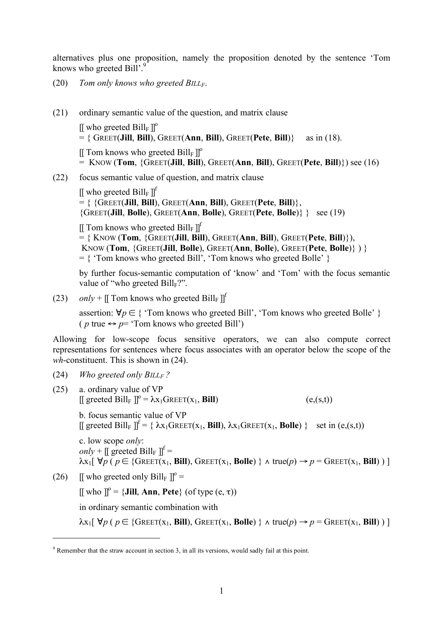alternatives plus one proposition, namely the proposition denoted by the sentence 'Tom knows who greeted Bill'.<sup>9</sup>

- (20) *Tom only knows who greeted BILLF*.
- (21) ordinary semantic value of the question, and matrix clause  $[[$  who greeted  $\text{Bill}_F$  ]<sup>o</sup> = { GREET(**Jill**, **Bill**), GREET(**Ann**, **Bill**), GREET(**Pete**, **Bill**)} as in (18).  $[[$  Tom knows who greeted  $\text{Bill}_F$   $]]^{\text{o}}$  $=$  KNOW (**Tom**, {GREET(**Jill, Bill**), GREET(**Ann**, **Bill**), GREET(**Pete**, **Bill**)}) see (16)
- (22) focus semantic value of question, and matrix clause

[[ who greeted  $\text{Bill}_\text{F}$  ]]<sup>f</sup> = { {GREET(**Jill**, **Bill**), GREET(**Ann**, **Bill**), GREET(**Pete**, **Bill**)}, {GREET(**Jill**, **Bolle**), GREET(**Ann**, **Bolle**), GREET(**Pete**, **Bolle**)} } see (19)

[[ Tom knows who greeted  $\text{Bill}_F$  ]]<sup>f</sup>

 $=$  { KNOW (**Tom**, {GREET(**Jill, Bill**), GREET(**Ann**, **Bill**), GREET(**Pete**, **Bill**)}), KNOW (**Tom**, {GREET(**Jill**, **Bolle**), GREET(**Ann**, **Bolle**), GREET(**Pete**, **Bolle**)} ) }  $=$  { 'Tom knows who greeted Bill', 'Tom knows who greeted Bolle' }

by further focus-semantic computation of 'know' and 'Tom' with the focus semantic value of "who greeted  $\text{Bill}_F$ ?".

(23) *only* + [[ Tom knows who greeted Bill<sub>F</sub> ]]<sup>f</sup>

assertion:  $\forall p \in \{$  'Tom knows who greeted Bill', 'Tom knows who greeted Bolle'  $\}$ (*p* true  $\leftrightarrow$  *p*= 'Tom knows who greeted Bill')

Allowing for low-scope focus sensitive operators, we can also compute correct representations for sentences where focus associates with an operator below the scope of the *wh*-constituent. This is shown in (24).

(24) *Who greeted only BILLF ?*

 $\overline{a}$ 

(25) a. ordinary value of VP  $[[ \text{greeted Bill}_F ]]^{\circ} = \lambda x_1 \text{GREET}(x_1, \text{Bill})$  (e,(s,t)) b. focus semantic value of VP  $[[$  greeted Bill<sub>F</sub>  $]]^f = \{ \lambda x_1 GREF(x_1, \text{ Bill}), \lambda x_1 GREF(x_1, \text{Bolle}) \}$  set in (e,(s,t)) c. low scope *only*: *only* +  $\left[\right]$  greeted Bill<sub>F</sub>  $\left[\right]$ <sup>f</sup> =  $\lambda$ x<sub>1</sub>[  $\forall p$  (  $p \in$  {GREET(x<sub>1</sub>, **Bill**), GREET(x<sub>1</sub>, **Bolle**) }  $\land$  true( $p$ )  $\rightarrow$   $p$  = GREET(x<sub>1</sub>, **Bill**))] (26) [[ who greeted only Bill<sub>F</sub>  $\mathbb{I}^{\circ}$  =  $[[$  who  $]]^{\circ} = \{$ **Jill**, **Ann**, **Pete** $\}$  (of type  $(e, \tau)$ )

in ordinary semantic combination with

 $\lambda$ x<sub>1</sub>[  $\forall p$  (  $p \in \{G$ REET(x<sub>1</sub>, **Bill**), GREET(x<sub>1</sub>, **Bolle**) }  $\land$  true( $p$ )  $\rightarrow$   $p = G$ REET(x<sub>1</sub>, **Bill**))]

 $9$  Remember that the straw account in section 3, in all its versions, would sadly fail at this point.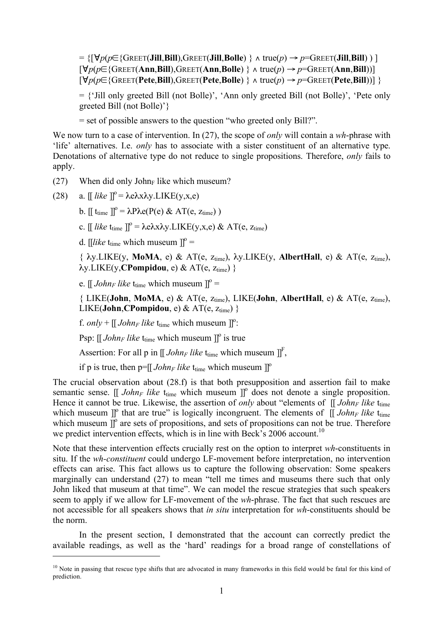= {[∀*p*(*p*∈{GREET(**Jill**,**Bill**),GREET(**Jill**,**Bolle**) } ∧ true(*p*) → *p*=GREET(**Jill**,**Bill**) ) ] [∀*p*(*p*∈{GREET(**Ann**,**Bill**),GREET(**Ann**,**Bolle**) } ∧ true(*p*) → *p*=GREET(**Ann**,**Bill**))] [∀*p*(*p*∈{GREET(**Pete**,**Bill**),GREET(**Pete**,**Bolle**) } ∧ true(*p*) → *p*=GREET(**Pete**,**Bill**))] }

 $=$  {'Jill only greeted Bill (not Bolle)', 'Ann only greeted Bill (not Bolle)', 'Pete only greeted Bill (not Bolle)'}

= set of possible answers to the question "who greeted only Bill?".

We now turn to a case of intervention. In (27), the scope of *only* will contain a *wh*-phrase with 'life' alternatives. I.e. *only* has to associate with a sister constituent of an alternative type. Denotations of alternative type do not reduce to single propositions. Therefore, *only* fails to apply.

- (27) When did only John<sub>F</sub> like which museum?
- (28) a.  $[[\text{like}]]^{\circ} = \lambda e \lambda x \lambda y. \text{LIKE}(y, x, e)$

 $\overline{a}$ 

b.  $[[ \text{ t<sub>time</sub> }]]^{\circ} = \lambda P \lambda e(P(e) \& AT(e, z<sub>time</sub>))$ 

- c.  $[[\text{like } t_{time}]]^{\circ} = \lambda e \lambda x \lambda y. LIKE(y, x, e) \& AT(e, z_{time})$
- d. [*like* t<sub>time</sub> which museum  $\mathbf{r} =$

 $\{\lambda y. \text{LIKE}(y, \text{MoMA}, e) \& AT(e, z_{time}), \lambda y. \text{LIKE}(y, \text{AlbertHall}, e) \& AT(e, z_{time}),\}$  $\lambda$ y.LIKE(y,**CPompidou**, e) & AT(e,  $z_{time}$ ) }

e.  $\left[\right]$  *John<sub>F</sub>* like t<sub>time</sub> which museum  $\left[\right]$ <sup>o</sup> =

 $\{LKE(John, MoMA, e) & AT(e, z<sub>time</sub>), LIKE(John, AlbertHall, e) & AT(e, z<sub>time</sub>),\}$  $LIKE(John, CPompidou, e) & AT(e, z<sub>time</sub>)$ 

f. *only* +  $\left[\right]$  *John<sub>F</sub> like* t<sub>time</sub> which museum  $\left[\right]$ <sup>o</sup>:

Psp:  $[[John_F like t_{time} which museum]]^{\circ}$  is true

Assertion: For all p in  $[[John_F like t_{time} which must be in]]^F$ ,

if p is true, then  $p = [[John_F like t_{time} which must be here]$ 

The crucial observation about (28.f) is that both presupposition and assertion fail to make semantic sense. [[  $John_F$  *like*  $t_{time}$  which museum ]]<sup>o</sup> does not denote a single proposition. Hence it cannot be true. Likewise, the assertion of *only* about "elements of  $\int$  *John<sub>F</sub> like* t<sub>time</sub> which museum  $\int_0^{\infty}$  that are true" is logically incongruent. The elements of  $\int_0^{\infty}$  *John<sub>F</sub> like* t<sub>ume</sub> which museum  $\overline{J}^0$  are sets of propositions, and sets of propositions can not be true. Therefore we predict intervention effects, which is in line with Beck's 2006 account.<sup>10</sup>

Note that these intervention effects crucially rest on the option to interpret *wh*-constituents in situ. If the *wh-constituent* could undergo LF-movement before interpretation, no intervention effects can arise. This fact allows us to capture the following observation: Some speakers marginally can understand (27) to mean "tell me times and museums there such that only John liked that museum at that time". We can model the rescue strategies that such speakers seem to apply if we allow for LF-movement of the *wh*-phrase. The fact that such rescues are not accessible for all speakers shows that *in situ* interpretation for *wh*-constituents should be the norm.

In the present section, I demonstrated that the account can correctly predict the available readings, as well as the 'hard' readings for a broad range of constellations of

 $10$  Note in passing that rescue type shifts that are advocated in many frameworks in this field would be fatal for this kind of prediction.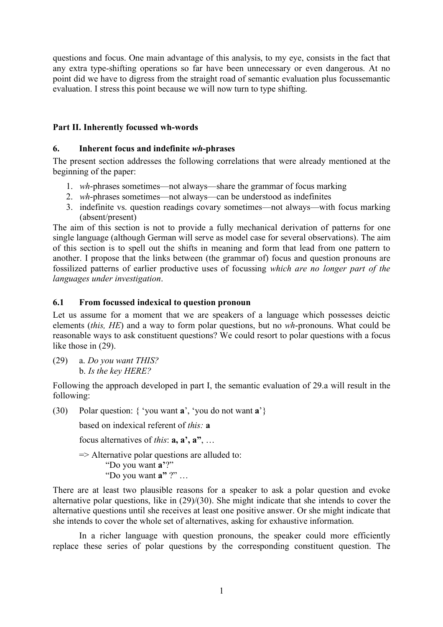questions and focus. One main advantage of this analysis, to my eye, consists in the fact that any extra type-shifting operations so far have been unnecessary or even dangerous. At no point did we have to digress from the straight road of semantic evaluation plus focussemantic evaluation. I stress this point because we will now turn to type shifting.

# **Part II. Inherently focussed wh-words**

## **6. Inherent focus and indefinite** *wh***-phrases**

The present section addresses the following correlations that were already mentioned at the beginning of the paper:

- 1. *wh*-phrases sometimes—not always—share the grammar of focus marking
- 2. *wh*-phrases sometimes—not always—can be understood as indefinites
- 3. indefinite vs. question readings covary sometimes—not always—with focus marking (absent/present)

The aim of this section is not to provide a fully mechanical derivation of patterns for one single language (although German will serve as model case for several observations). The aim of this section is to spell out the shifts in meaning and form that lead from one pattern to another. I propose that the links between (the grammar of) focus and question pronouns are fossilized patterns of earlier productive uses of focussing *which are no longer part of the languages under investigation*.

# **6.1 From focussed indexical to question pronoun**

Let us assume for a moment that we are speakers of a language which possesses deictic elements (*this, HE*) and a way to form polar questions, but no *wh*-pronouns. What could be reasonable ways to ask constituent questions? We could resort to polar questions with a focus like those in (29).

(29) a. *Do you want THIS?* b. *Is the key HERE?*

Following the approach developed in part I, the semantic evaluation of 29.a will result in the following:

(30) Polar question: { 'you want **a**', 'you do not want **a**'}

based on indexical referent of *this:* **a**

focus alternatives of *this*: **a, a', a"**, …

 $\Rightarrow$  Alternative polar questions are alluded to: "Do you want **a'**?" "Do you want **a"** ?" …

There are at least two plausible reasons for a speaker to ask a polar question and evoke alternative polar questions, like in (29)/(30). She might indicate that she intends to cover the alternative questions until she receives at least one positive answer. Or she might indicate that she intends to cover the whole set of alternatives, asking for exhaustive information.

In a richer language with question pronouns, the speaker could more efficiently replace these series of polar questions by the corresponding constituent question. The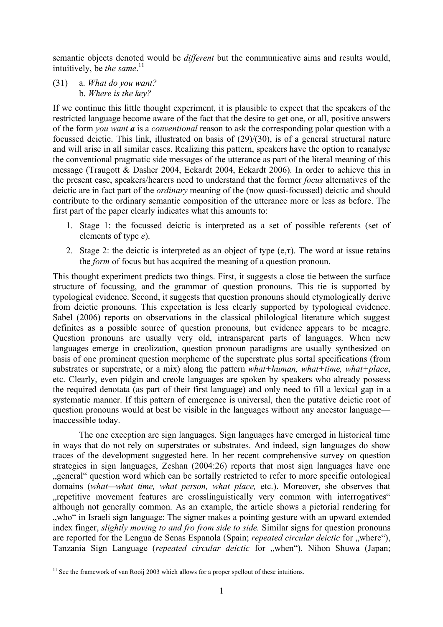semantic objects denoted would be *different* but the communicative aims and results would, intuitively, be *the same*. 11

(31) a. *What do you want?* b. *Where is the key?*

If we continue this little thought experiment, it is plausible to expect that the speakers of the restricted language become aware of the fact that the desire to get one, or all, positive answers of the form *you want a* is a *conventional* reason to ask the corresponding polar question with a focussed deictic. This link, illustrated on basis of (29)/(30), is of a general structural nature and will arise in all similar cases. Realizing this pattern, speakers have the option to reanalyse the conventional pragmatic side messages of the utterance as part of the literal meaning of this message (Traugott & Dasher 2004, Eckardt 2004, Eckardt 2006). In order to achieve this in the present case, speakers/hearers need to understand that the former *focus* alternatives of the deictic are in fact part of the *ordinary* meaning of the (now quasi-focussed) deictic and should contribute to the ordinary semantic composition of the utterance more or less as before. The first part of the paper clearly indicates what this amounts to:

- 1. Stage 1: the focussed deictic is interpreted as a set of possible referents (set of elements of type *e*).
- 2. Stage 2: the deictic is interpreted as an object of type  $(e, \tau)$ . The word at issue retains the *form* of focus but has acquired the meaning of a question pronoun.

This thought experiment predicts two things. First, it suggests a close tie between the surface structure of focussing, and the grammar of question pronouns. This tie is supported by typological evidence. Second, it suggests that question pronouns should etymologically derive from deictic pronouns. This expectation is less clearly supported by typological evidence. Sabel (2006) reports on observations in the classical philological literature which suggest definites as a possible source of question pronouns, but evidence appears to be meagre. Question pronouns are usually very old, intransparent parts of languages. When new languages emerge in creolization, question pronoun paradigms are usually synthesized on basis of one prominent question morpheme of the superstrate plus sortal specifications (from substrates or superstrate, or a mix) along the pattern *what+human, what+time, what+place*, etc. Clearly, even pidgin and creole languages are spoken by speakers who already possess the required denotata (as part of their first language) and only need to fill a lexical gap in a systematic manner. If this pattern of emergence is universal, then the putative deictic root of question pronouns would at best be visible in the languages without any ancestor language inaccessible today.

The one exception are sign languages. Sign languages have emerged in historical time in ways that do not rely on superstrates or substrates. And indeed, sign languages do show traces of the development suggested here. In her recent comprehensive survey on question strategies in sign languages, Zeshan (2004:26) reports that most sign languages have one "general" question word which can be sortally restricted to refer to more specific ontological domains (*what—what time, what person, what place,* etc.). Moreover, she observes that "repetitive movement features are crosslinguistically very common with interrogatives" although not generally common. As an example, the article shows a pictorial rendering for "who" in Israeli sign language: The signer makes a pointing gesture with an upward extended index finger, *slightly moving to and fro from side to side.* Similar signs for question pronouns are reported for the Lengua de Senas Espanola (Spain; *repeated circular deictic* for "where"), Tanzania Sign Language (*repeated circular deictic* for "when"), Nihon Shuwa (Japan;  $\overline{a}$ 

<sup>&</sup>lt;sup>11</sup> See the framework of van Rooij 2003 which allows for a proper spellout of these intuitions.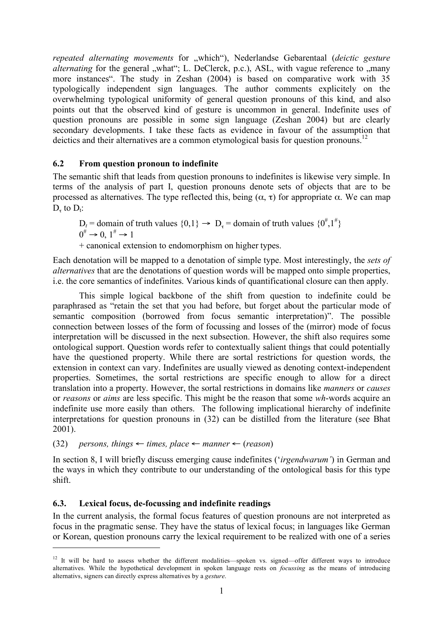*repeated alternating movements* for "which"), Nederlandse Gebarentaal (deictic gesture *alternating* for the general "what"; L. DeClerck, p.c.), ASL, with vague reference to "many more instances". The study in Zeshan (2004) is based on comparative work with 35 typologically independent sign languages. The author comments explicitely on the overwhelming typological uniformity of general question pronouns of this kind, and also points out that the observed kind of gesture is uncommon in general. Indefinite uses of question pronouns are possible in some sign language (Zeshan 2004) but are clearly secondary developments. I take these facts as evidence in favour of the assumption that deictics and their alternatives are a common etymological basis for question pronouns.<sup>12</sup>

# **6.2 From question pronoun to indefinite**

The semantic shift that leads from question pronouns to indefinites is likewise very simple. In terms of the analysis of part I, question pronouns denote sets of objects that are to be processed as alternatives. The type reflected this, being  $(α, τ)$  for appropriate  $α$ . We can map  $D<sub>r</sub>$  to  $D<sub>t</sub>$ :

 $D_t$  = domain of truth values  $\{0,1\} \rightarrow D_{\tau}$  = domain of truth values  $\{0^{\#},1^{\#}\}$  $0^{\#} \rightarrow 0 \quad 1^{\#} \rightarrow 1$ 

+ canonical extension to endomorphism on higher types.

Each denotation will be mapped to a denotation of simple type. Most interestingly, the *sets of alternatives* that are the denotations of question words will be mapped onto simple properties, i.e. the core semantics of indefinites. Various kinds of quantificational closure can then apply.

This simple logical backbone of the shift from question to indefinite could be paraphrased as "retain the set that you had before, but forget about the particular mode of semantic composition (borrowed from focus semantic interpretation)". The possible connection between losses of the form of focussing and losses of the (mirror) mode of focus interpretation will be discussed in the next subsection. However, the shift also requires some ontological support. Question words refer to contextually salient things that could potentially have the questioned property. While there are sortal restrictions for question words, the extension in context can vary. Indefinites are usually viewed as denoting context-independent properties. Sometimes, the sortal restrictions are specific enough to allow for a direct translation into a property. However, the sortal restrictions in domains like *manners* or *causes* or *reasons* or *aims* are less specific. This might be the reason that some *wh*-words acquire an indefinite use more easily than others. The following implicational hierarchy of indefinite interpretations for question pronouns in (32) can be distilled from the literature (see Bhat 2001).

(32) *persons, things*  $\leftarrow$  *times, place*  $\leftarrow$  *manner*  $\leftarrow$  (*reason*)

In section 8, I will briefly discuss emerging cause indefinites ('*irgendwarum'*) in German and the ways in which they contribute to our understanding of the ontological basis for this type shift.

### **6.3. Lexical focus, de-focussing and indefinite readings**

 $\overline{a}$ 

In the current analysis, the formal focus features of question pronouns are not interpreted as focus in the pragmatic sense. They have the status of lexical focus; in languages like German or Korean, question pronouns carry the lexical requirement to be realized with one of a series

<sup>&</sup>lt;sup>12</sup> It will be hard to assess whether the different modalities—spoken vs. signed—offer different ways to introduce alternatives. While the hypothetical development in spoken language rests on *focussing* as the means of introducing alternativs, signers can directly express alternatives by a *gesture*.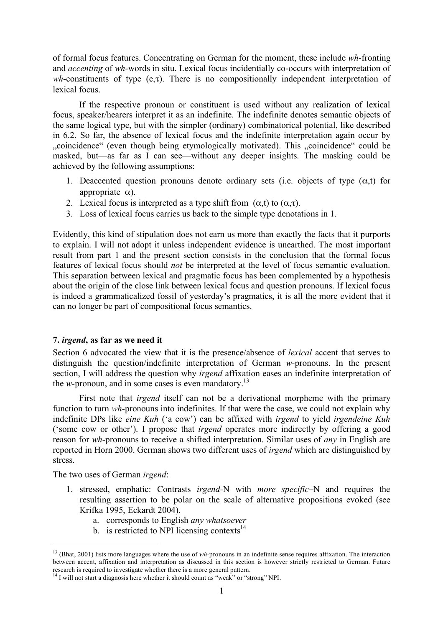of formal focus features. Concentrating on German for the moment, these include *wh*-fronting and *accenting* of *wh-*words in situ. Lexical focus incidentially co-occurs with interpretation of *wh*-constituents of type (e,τ). There is no compositionally independent interpretation of lexical focus.

If the respective pronoun or constituent is used without any realization of lexical focus, speaker/hearers interpret it as an indefinite. The indefinite denotes semantic objects of the same logical type, but with the simpler (ordinary) combinatorical potential, like described in 6.2. So far, the absence of lexical focus and the indefinite interpretation again occur by "coincidence" (even though being etymologically motivated). This "coincidence" could be masked, but—as far as I can see—without any deeper insights. The masking could be achieved by the following assumptions:

- 1. Deaccented question pronouns denote ordinary sets (i.e. objects of type  $(\alpha, t)$  for appropriate  $α$ ).
- 2. Lexical focus is interpreted as a type shift from  $(\alpha, t)$  to  $(\alpha, \tau)$ .
- 3. Loss of lexical focus carries us back to the simple type denotations in 1.

Evidently, this kind of stipulation does not earn us more than exactly the facts that it purports to explain. I will not adopt it unless independent evidence is unearthed. The most important result from part 1 and the present section consists in the conclusion that the formal focus features of lexical focus should *not* be interpreted at the level of focus semantic evaluation. This separation between lexical and pragmatic focus has been complemented by a hypothesis about the origin of the close link between lexical focus and question pronouns. If lexical focus is indeed a grammaticalized fossil of yesterday's pragmatics, it is all the more evident that it can no longer be part of compositional focus semantics.

### **7.** *irgend***, as far as we need it**

Section 6 advocated the view that it is the presence/absence of *lexical* accent that serves to distinguish the question/indefinite interpretation of German *w-*pronouns. In the present section, I will address the question why *irgend* affixation eases an indefinite interpretation of the *w-*pronoun, and in some cases is even mandatory. 13

First note that *irgend* itself can not be a derivational morpheme with the primary function to turn *wh*-pronouns into indefinites. If that were the case, we could not explain why indefinite DPs like *eine Kuh* ('a cow') can be affixed with *irgend* to yield *irgendeine Kuh* ('some cow or other'). I propose that *irgend* operates more indirectly by offering a good reason for *wh*-pronouns to receive a shifted interpretation. Similar uses of *any* in English are reported in Horn 2000. German shows two different uses of *irgend* which are distinguished by stress.

The two uses of German *irgend*:

 $\overline{a}$ 

- 1. stressed, emphatic: Contrasts *irgend-*N with *more specific*–N and requires the resulting assertion to be polar on the scale of alternative propositions evoked (see Krifka 1995, Eckardt 2004).
	- a. corresponds to English *any whatsoever*
		- b. is restricted to NPI licensing contexts $14$

<sup>&</sup>lt;sup>13</sup> (Bhat, 2001) lists more languages where the use of *wh*-pronouns in an indefinite sense requires affixation. The interaction between accent, affixation and interpretation as discussed in this section is however strictly restricted to German. Future research is required to investigate whether there is a more general pattern.

 $14$  I will not start a diagnosis here whether it should count as "weak" or "strong" NPI.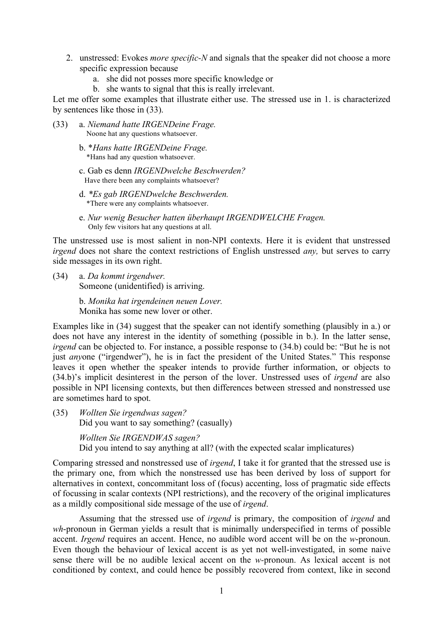- 2. unstressed: Evokes *more specific-N* and signals that the speaker did not choose a more specific expression because
	- a. she did not posses more specific knowledge or
	- b. she wants to signal that this is really irrelevant.

Let me offer some examples that illustrate either use. The stressed use in 1. is characterized by sentences like those in (33).

- (33) a. *Niemand hatte IRGENDeine Frage.* Noone hat any questions whatsoever.
	- b. \**Hans hatte IRGENDeine Frage.* \*Hans had any question whatsoever.
	- c. Gab es denn *IRGENDwelche Beschwerden?* Have there been any complaints whatsoever?
	- d. *\*Es gab IRGENDwelche Beschwerden.* \*There were any complaints whatsoever.
	- e. *Nur wenig Besucher hatten überhaupt IRGENDWELCHE Fragen.* Only few visitors hat any questions at all.

The unstressed use is most salient in non-NPI contexts. Here it is evident that unstressed *irgend* does not share the context restrictions of English unstressed *any,* but serves to carry side messages in its own right.

(34) a. *Da kommt irgendwer.* Someone (unidentified) is arriving.

> b. *Monika hat irgendeinen neuen Lover.* Monika has some new lover or other.

Examples like in (34) suggest that the speaker can not identify something (plausibly in a.) or does not have any interest in the identity of something (possible in b.). In the latter sense, *irgend* can be objected to. For instance, a possible response to (34.b) could be: "But he is not just *anyone* ("irgendwer"), he is in fact the president of the United States." This response leaves it open whether the speaker intends to provide further information, or objects to (34.b)'s implicit desinterest in the person of the lover. Unstressed uses of *irgend* are also possible in NPI licensing contexts, but then differences between stressed and nonstressed use are sometimes hard to spot.

(35) *Wollten Sie irgendwas sagen?* Did you want to say something? (casually)

*Wollten Sie IRGENDWAS sagen?*

Did you intend to say anything at all? (with the expected scalar implicatures)

Comparing stressed and nonstressed use of *irgend*, I take it for granted that the stressed use is the primary one, from which the nonstressed use has been derived by loss of support for alternatives in context, concommitant loss of (focus) accenting, loss of pragmatic side effects of focussing in scalar contexts (NPI restrictions), and the recovery of the original implicatures as a mildly compositional side message of the use of *irgend*.

Assuming that the stressed use of *irgend* is primary, the composition of *irgend* and *wh*-pronoun in German yields a result that is minimally underspecified in terms of possible accent. *Irgend* requires an accent. Hence, no audible word accent will be on the *w*-pronoun. Even though the behaviour of lexical accent is as yet not well-investigated, in some naive sense there will be no audible lexical accent on the *w-*pronoun. As lexical accent is not conditioned by context, and could hence be possibly recovered from context, like in second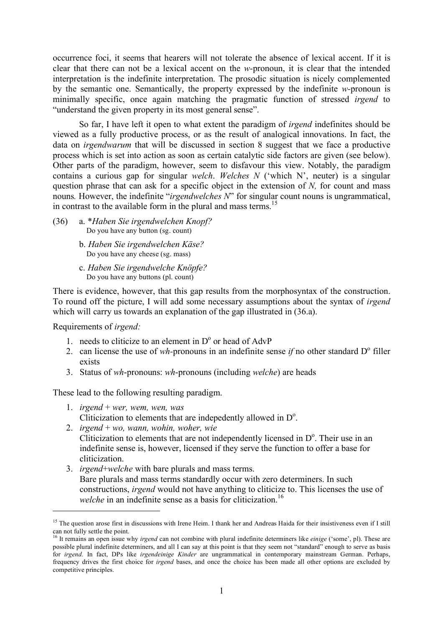occurrence foci, it seems that hearers will not tolerate the absence of lexical accent. If it is clear that there can not be a lexical accent on the *w-*pronoun, it is clear that the intended interpretation is the indefinite interpretation. The prosodic situation is nicely complemented by the semantic one. Semantically, the property expressed by the indefinite *w-*pronoun is minimally specific, once again matching the pragmatic function of stressed *irgend* to "understand the given property in its most general sense".

So far, I have left it open to what extent the paradigm of *irgend* indefinites should be viewed as a fully productive process, or as the result of analogical innovations. In fact, the data on *irgendwarum* that will be discussed in section 8 suggest that we face a productive process which is set into action as soon as certain catalytic side factors are given (see below). Other parts of the paradigm, however, seem to disfavour this view. Notably, the paradigm contains a curious gap for singular *welch*. *Welches N* ('which N', neuter) is a singular question phrase that can ask for a specific object in the extension of *N,* for count and mass nouns*.* However, the indefinite "*irgendwelches N*" for singular count nouns is ungrammatical, in contrast to the available form in the plural and mass terms. 15

- (36) a. \**Haben Sie irgendwelchen Knopf?* Do you have any button (sg. count)
	- b. *Haben Sie irgendwelchen Käse?* Do you have any cheese (sg. mass)
	- c. *Haben Sie irgendwelche Knöpfe?* Do you have any buttons (pl. count)

There is evidence, however, that this gap results from the morphosyntax of the construction. To round off the picture, I will add some necessary assumptions about the syntax of *irgend* which will carry us towards an explanation of the gap illustrated in (36.a).

Requirements of *irgend:*

 $\overline{a}$ 

- 1. needs to cliticize to an element in  $D<sup>o</sup>$  or head of AdvP
- 2. can license the use of *wh*-pronouns in an indefinite sense *if* no other standard  $D^{\circ}$  filler exists
- 3. Status of *wh*-pronouns: *wh*-pronouns (including *welche*) are heads

These lead to the following resulting paradigm.

- 1. *irgend* + *wer, wem, wen, was* Cliticization to elements that are indepedently allowed in  $D^{\circ}$ .
- 2. *irgend* + *wo, wann, wohin, woher, wie* Cliticization to elements that are not independently licensed in  $D<sup>o</sup>$ . Their use in an indefinite sense is, however, licensed if they serve the function to offer a base for cliticization.
- 3. *irgend*+*welche* with bare plurals and mass terms. Bare plurals and mass terms standardly occur with zero determiners. In such constructions, *irgend* would not have anything to cliticize to. This licenses the use of welche in an indefinite sense as a basis for cliticization.<sup>16</sup>

<sup>&</sup>lt;sup>15</sup> The question arose first in discussions with Irene Heim. I thank her and Andreas Haida for their insistiveness even if I still can not fully settle the point.<br><sup>16</sup> It remains an open issue why *irgend* can not combine with plural indefinite determiners like *einige* ('some', pl). These are

possible plural indefinite determiners, and all I can say at this point is that they seem not "standard" enough to serve as basis for *irgend.* In fact, DPs like *irgendeinige Kinder* are ungrammatical in contemporary mainstream German. Perhaps, frequency drives the first choice for *irgend* bases, and once the choice has been made all other options are excluded by competitive principles.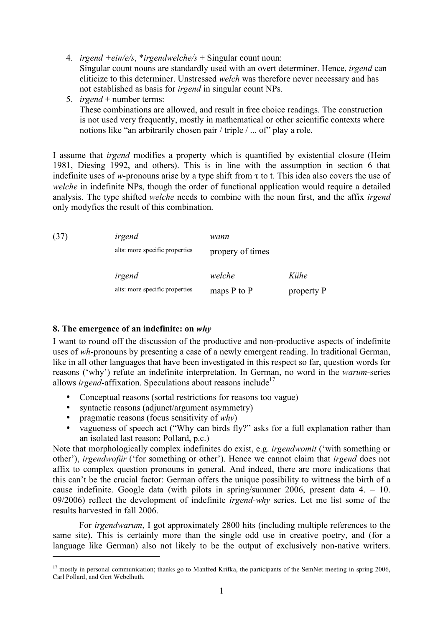- 4. *irgend +ein/e/s*, \**irgendwelche/s* + Singular count noun: Singular count nouns are standardly used with an overt determiner. Hence, *irgend* can cliticize to this determiner. Unstressed *welch* was therefore never necessary and has not established as basis for *irgend* in singular count NPs.
- 5. *irgend* + number terms: These combinations are allowed, and result in free choice readings. The construction is not used very frequently, mostly in mathematical or other scientific contexts where notions like "an arbitrarily chosen pair / triple / ... of" play a role.

I assume that *irgend* modifies a property which is quantified by existential closure (Heim 1981, Diesing 1992, and others). This is in line with the assumption in section 6 that indefinite uses of *w*-pronouns arise by a type shift from  $\tau$  to t. This idea also covers the use of *welche* in indefinite NPs, though the order of functional application would require a detailed analysis. The type shifted *welche* needs to combine with the noun first, and the affix *irgend* only modyfies the result of this combination.

| (37) | irgend                                   | wann                      |                    |
|------|------------------------------------------|---------------------------|--------------------|
|      | alts: more specific properties           | propery of times          |                    |
|      | irgend<br>alts: more specific properties | welche<br>maps $P$ to $P$ | Kühe<br>property P |

### **8. The emergence of an indefinite: on** *why*

 $\overline{a}$ 

I want to round off the discussion of the productive and non-productive aspects of indefinite uses of *wh*-pronouns by presenting a case of a newly emergent reading. In traditional German, like in all other languages that have been investigated in this respect so far, question words for reasons ('why') refute an indefinite interpretation. In German, no word in the *warum*-series allows *irgend*-affixation. Speculations about reasons include<sup>17</sup>

- Conceptual reasons (sortal restrictions for reasons too vague)
- syntactic reasons (adjunct/argument asymmetry)
- pragmatic reasons (focus sensitivity of *why*)
- vagueness of speech act ("Why can birds fly?" asks for a full explanation rather than an isolated last reason; Pollard, p.c.)

Note that morphologically complex indefinites do exist, e.g. *irgendwomit* ('with something or other'), *irgendwofür* ('for something or other'). Hence we cannot claim that *irgend* does not affix to complex question pronouns in general. And indeed, there are more indications that this can't be the crucial factor: German offers the unique possibility to wittness the birth of a cause indefinite. Google data (with pilots in spring/summer 2006, present data 4. – 10. 09/2006) reflect the development of indefinite *irgend-why* series. Let me list some of the results harvested in fall 2006.

For *irgendwarum*, I got approximately 2800 hits (including multiple references to the same site). This is certainly more than the single odd use in creative poetry, and (for a language like German) also not likely to be the output of exclusively non-native writers.

 $17$  mostly in personal communication; thanks go to Manfred Krifka, the participants of the SemNet meeting in spring 2006, Carl Pollard, and Gert Webelhuth.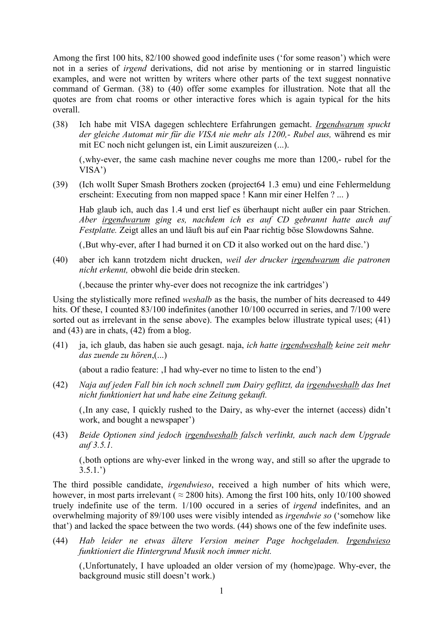Among the first 100 hits, 82/100 showed good indefinite uses ('for some reason') which were not in a series of *irgend* derivations, did not arise by mentioning or in starred linguistic examples, and were not written by writers where other parts of the text suggest nonnative command of German. (38) to (40) offer some examples for illustration. Note that all the quotes are from chat rooms or other interactive fores which is again typical for the hits overall.

(38) Ich habe mit VISA dagegen schlechtere Erfahrungen gemacht. *Irgendwarum spuckt der gleiche Automat mir für die VISA nie mehr als 1200,- Rubel aus,* während es mir mit EC noch nicht gelungen ist, ein Limit auszureizen (...).

(why-ever, the same cash machine never coughs me more than 1200,- rubel for the VISA')

(39) (Ich wollt Super Smash Brothers zocken (project64 1.3 emu) und eine Fehlermeldung erscheint: Executing from non mapped space ! Kann mir einer Helfen ? ... )

Hab glaub ich, auch das 1.4 und erst lief es überhaupt nicht außer ein paar Strichen. *Aber irgendwarum ging es, nachdem ich es auf CD gebrannt hatte auch auf Festplatte.* Zeigt alles an und läuft bis auf ein Paar richtig böse Slowdowns Sahne.

(But why-ever, after I had burned it on CD it also worked out on the hard disc.)

(40) aber ich kann trotzdem nicht drucken, *weil der drucker irgendwarum die patronen nicht erkennt,* obwohl die beide drin stecken.

('because the printer why-ever does not recognize the ink cartridges')

Using the stylistically more refined *weshalb* as the basis, the number of hits decreased to 449 hits. Of these, I counted 83/100 indefinites (another 10/100 occurred in series, and 7/100 were sorted out as irrelevant in the sense above). The examples below illustrate typical uses; (41) and (43) are in chats, (42) from a blog.

(41) ja, ich glaub, das haben sie auch gesagt. naja, *ich hatte irgendweshalb keine zeit mehr das zuende zu hören*,(...)

(about a radio feature: , I had why-ever no time to listen to the end')

(42) *Naja auf jeden Fall bin ich noch schnell zum Dairy geflitzt, da irgendweshalb das Inet nicht funktioniert hat und habe eine Zeitung gekauft.*

(In any case, I quickly rushed to the Dairy, as why-ever the internet (access) didn't work, and bought a newspaper')

(43) *Beide Optionen sind jedoch irgendweshalb falsch verlinkt, auch nach dem Upgrade auf 3.5.1.*

('both options are why-ever linked in the wrong way, and still so after the upgrade to  $3.5.1.$ <sup>'</sup>)

The third possible candidate, *irgendwieso*, received a high number of hits which were, however, in most parts irrelevant ( $\approx$  2800 hits). Among the first 100 hits, only 10/100 showed truely indefinite use of the term. 1/100 occured in a series of *irgend* indefinites, and an overwhelming majority of 89/100 uses were visibly intended as *irgendwie so* ('somehow like that') and lacked the space between the two words. (44) shows one of the few indefinite uses.

(44) *Hab leider ne etwas ältere Version meiner Page hochgeladen. Irgendwieso funktioniert die Hintergrund Musik noch immer nicht.*

('Unfortunately, I have uploaded an older version of my (home)page. Why-ever, the background music still doesn't work.)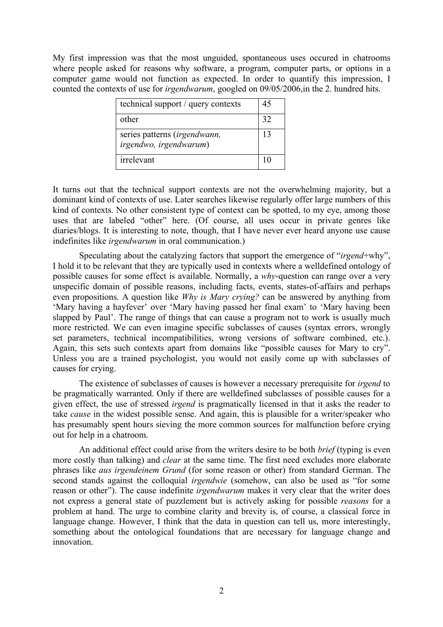My first impression was that the most unguided, spontaneous uses occured in chatrooms where people asked for reasons why software, a program, computer parts, or options in a computer game would not function as expected. In order to quantify this impression, I counted the contexts of use for *irgendwarum*, googled on 09/05/2006,in the 2. hundred hits.

| technical support / query contexts                            | 45 |
|---------------------------------------------------------------|----|
| other                                                         | 32 |
| series patterns <i>(irgendwann,</i><br>irgendwo, irgendwarum) | 13 |
| irrelevant                                                    |    |

It turns out that the technical support contexts are not the overwhelming majority, but a dominant kind of contexts of use. Later searches likewise regularly offer large numbers of this kind of contexts. No other consistent type of context can be spotted, to my eye, among those uses that are labeled "other" here. (Of course, all uses occur in private genres like diaries/blogs. It is interesting to note, though, that I have never ever heard anyone use cause indefinites like *irgendwarum* in oral communication.)

Speculating about the catalyzing factors that support the emergence of "*irgend*+why", I hold it to be relevant that they are typically used in contexts where a welldefined ontology of possible causes for some effect is available. Normally, a *why*-question can range over a very unspecific domain of possible reasons, including facts, events, states-of-affairs and perhaps even propositions. A question like *Why is Mary crying?* can be answered by anything from 'Mary having a hayfever' over 'Mary having passed her final exam' to 'Mary having been slapped by Paul'. The range of things that can cause a program not to work is usually much more restricted. We can even imagine specific subclasses of causes (syntax errors, wrongly set parameters, technical incompatibilities, wrong versions of software combined, etc.). Again, this sets such contexts apart from domains like "possible causes for Mary to cry". Unless you are a trained psychologist, you would not easily come up with subclasses of causes for crying.

The existence of subclasses of causes is however a necessary prerequisite for *irgend* to be pragmatically warranted. Only if there are welldefined subclasses of possible causes for a given effect, the use of stressed *irgend* is pragmatically licensed in that it asks the reader to take *cause* in the widest possible sense. And again, this is plausible for a writer/speaker who has presumably spent hours sieving the more common sources for malfunction before crying out for help in a chatroom.

An additional effect could arise from the writers desire to be both *brief* (typing is even more costly than talking) and *clear* at the same time. The first need excludes more elaborate phrases like *aus irgendeinem Grund* (for some reason or other) from standard German. The second stands against the colloquial *irgendwie* (somehow, can also be used as "for some reason or other"). The cause indefinite *irgendwarum* makes it very clear that the writer does not express a general state of puzzlement but is actively asking for possible *reasons* for a problem at hand. The urge to combine clarity and brevity is, of course, a classical force in language change. However, I think that the data in question can tell us, more interestingly, something about the ontological foundations that are necessary for language change and innovation.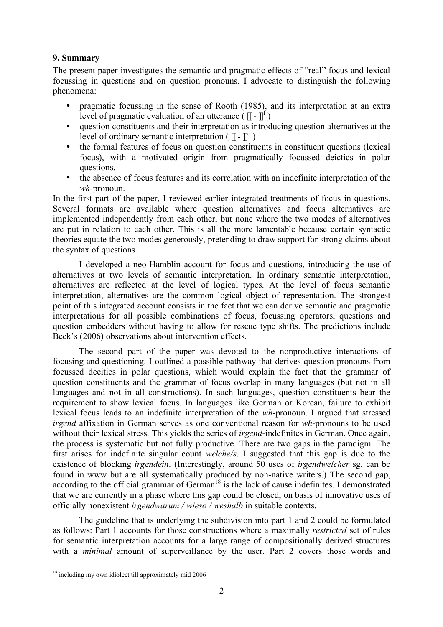### **9. Summary**

The present paper investigates the semantic and pragmatic effects of "real" focus and lexical focussing in questions and on question pronouns. I advocate to distinguish the following phenomena:

- pragmatic focussing in the sense of Rooth (1985), and its interpretation at an extra level of pragmatic evaluation of an utterance  $(\mathbf{r} \cdot \mathbf{r})^f$ )
- question constituents and their interpretation as introducing question alternatives at the level of ordinary semantic interpretation ( $[[ - ]]$ <sup>o</sup>)
- the formal features of focus on question constituents in constituent questions (lexical focus), with a motivated origin from pragmatically focussed deictics in polar questions.
- the absence of focus features and its correlation with an indefinite interpretation of the *wh-*pronoun.

In the first part of the paper, I reviewed earlier integrated treatments of focus in questions. Several formats are available where question alternatives and focus alternatives are implemented independently from each other, but none where the two modes of alternatives are put in relation to each other. This is all the more lamentable because certain syntactic theories equate the two modes generously, pretending to draw support for strong claims about the syntax of questions.

I developed a neo-Hamblin account for focus and questions, introducing the use of alternatives at two levels of semantic interpretation. In ordinary semantic interpretation, alternatives are reflected at the level of logical types. At the level of focus semantic interpretation, alternatives are the common logical object of representation. The strongest point of this integrated account consists in the fact that we can derive semantic and pragmatic interpretations for all possible combinations of focus, focussing operators, questions and question embedders without having to allow for rescue type shifts. The predictions include Beck's (2006) observations about intervention effects.

The second part of the paper was devoted to the nonproductive interactions of focusing and questioning. I outlined a possible pathway that derives question pronouns from focussed decitics in polar questions, which would explain the fact that the grammar of question constituents and the grammar of focus overlap in many languages (but not in all languages and not in all constructions). In such languages, question constituents bear the requirement to show lexical focus. In languages like German or Korean, failure to exhibit lexical focus leads to an indefinite interpretation of the *wh*-pronoun. I argued that stressed *irgend* affixation in German serves as one conventional reason for *wh*-pronouns to be used without their lexical stress. This yields the series of *irgend*-indefinites in German. Once again, the process is systematic but not fully productive. There are two gaps in the paradigm. The first arises for indefinite singular count *welche/s*. I suggested that this gap is due to the existence of blocking *irgendein*. (Interestingly, around 50 uses of *irgendwelcher* sg. can be found in www but are all systematically produced by non-native writers.) The second gap, according to the official grammar of German<sup>18</sup> is the lack of cause indefinites. I demonstrated that we are currently in a phase where this gap could be closed, on basis of innovative uses of officially nonexistent *irgendwarum / wieso / weshalb* in suitable contexts.

The guideline that is underlying the subdivision into part 1 and 2 could be formulated as follows: Part 1 accounts for those constructions where a maximally *restricted* set of rules for semantic interpretation accounts for a large range of compositionally derived structures with a *minimal* amount of superveillance by the user. Part 2 covers those words and

 $\overline{a}$ 

<sup>&</sup>lt;sup>18</sup> including my own idiolect till approximately mid 2006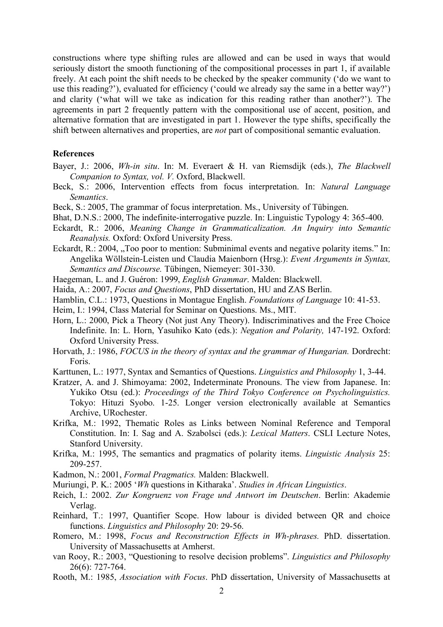constructions where type shifting rules are allowed and can be used in ways that would seriously distort the smooth functioning of the compositional processes in part 1, if available freely. At each point the shift needs to be checked by the speaker community ('do we want to use this reading?'), evaluated for efficiency ('could we already say the same in a better way?') and clarity ('what will we take as indication for this reading rather than another?'). The agreements in part 2 frequently pattern with the compositional use of accent, position, and alternative formation that are investigated in part 1. However the type shifts, specifically the shift between alternatives and properties, are *not* part of compositional semantic evaluation.

#### **References**

- Bayer, J.: 2006, *Wh-in situ*. In: M. Everaert & H. van Riemsdijk (eds.), *The Blackwell Companion to Syntax, vol. V.* Oxford, Blackwell.
- Beck, S.: 2006, Intervention effects from focus interpretation. In: *Natural Language Semantics*.
- Beck, S.: 2005, The grammar of focus interpretation. Ms., University of Tübingen.
- Bhat, D.N.S.: 2000, The indefinite-interrogative puzzle. In: Linguistic Typology 4: 365-400.
- Eckardt, R.: 2006, *Meaning Change in Grammaticalization. An Inquiry into Semantic Reanalysis.* Oxford: Oxford University Press.
- Eckardt, R.: 2004, "Too poor to mention: Subminimal events and negative polarity items." In: Angelika Wöllstein-Leisten und Claudia Maienborn (Hrsg.): *Event Arguments in Syntax, Semantics and Discourse.* Tübingen, Niemeyer: 301-330.
- Haegeman, L. and J. Guéron: 1999, *English Grammar*. Malden: Blackwell.
- Haida, A.: 2007, *Focus and Questions*, PhD dissertation, HU and ZAS Berlin.
- Hamblin, C.L.: 1973, Questions in Montague English. *Foundations of Language* 10: 41-53.

Heim, I.: 1994, Class Material for Seminar on Questions. Ms., MIT.

- Horn, L.: 2000, Pick a Theory (Not just Any Theory). Indiscriminatives and the Free Choice Indefinite. In: L. Horn, Yasuhiko Kato (eds.): *Negation and Polarity,* 147-192. Oxford: Oxford University Press.
- Horvath, J.: 1986, *FOCUS in the theory of syntax and the grammar of Hungarian.* Dordrecht: Foris.
- Karttunen, L.: 1977, Syntax and Semantics of Questions. *Linguistics and Philosophy* 1, 3-44.
- Kratzer, A. and J. Shimoyama: 2002, Indeterminate Pronouns. The view from Japanese. In: Yukiko Otsu (ed.): *Proceedings of the Third Tokyo Conference on Psycholinguistics.* Tokyo: Hituzi Syobo. 1-25. Longer version electronically available at Semantics Archive, URochester.
- Krifka, M.: 1992, Thematic Roles as Links between Nominal Reference and Temporal Constitution. In: I. Sag and A. Szabolsci (eds.): *Lexical Matters*. CSLI Lecture Notes, Stanford University.
- Krifka, M.: 1995, The semantics and pragmatics of polarity items. *Linguistic Analysis* 25: 209-257.
- Kadmon, N.: 2001, *Formal Pragmatics.* Malden: Blackwell.
- Muriungi, P. K.: 2005 '*Wh* questions in Kitharaka'. *Studies in African Linguistics*.
- Reich, I.: 2002. *Zur Kongruenz von Frage und Antwort im Deutschen*. Berlin: Akademie Verlag.
- Reinhard, T.: 1997, Quantifier Scope. How labour is divided between QR and choice functions. *Linguistics and Philosophy* 20: 29-56.
- Romero, M.: 1998, *Focus and Reconstruction Effects in Wh-phrases.* PhD. dissertation. University of Massachusetts at Amherst.
- van Rooy, R.: 2003, "Questioning to resolve decision problems". *Linguistics and Philosophy* 26(6): 727-764.
- Rooth, M.: 1985, *Association with Focus*. PhD dissertation, University of Massachusetts at